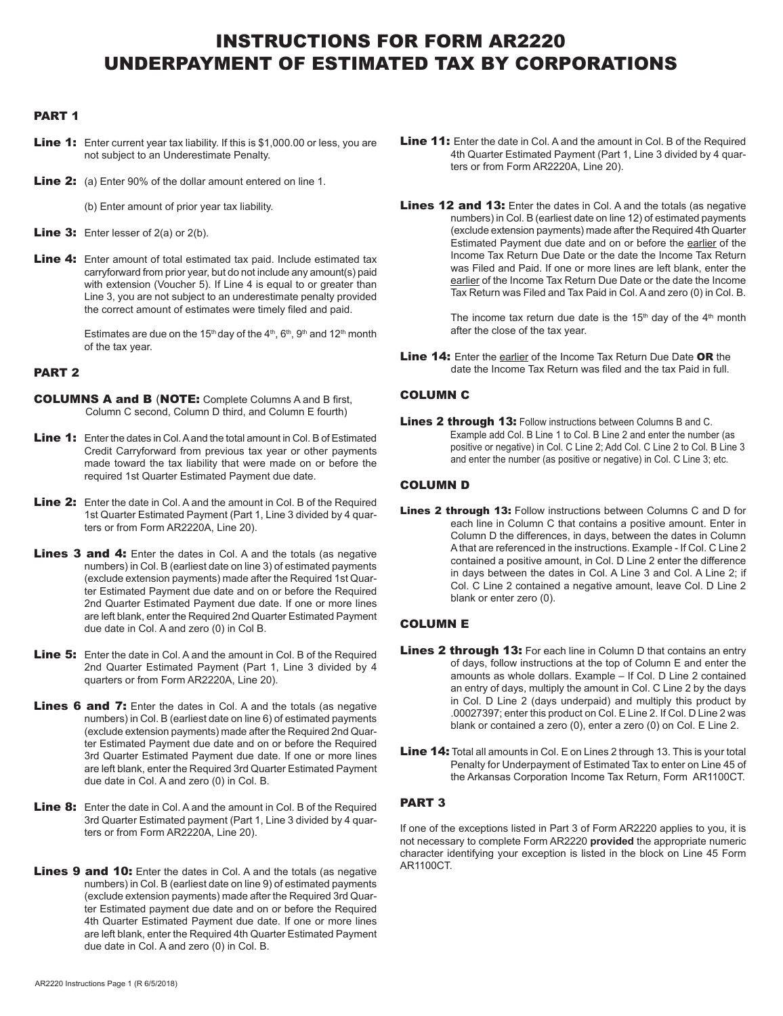## INSTRUCTIONS FOR FORM AR2220 UNDERPAYMENT OF ESTIMATED TAX BY CORPORATIONS

#### PART 1

- Line 1: Enter current year tax liability. If this is \$1,000.00 or less, you are not subject to an Underestimate Penalty.
- **Line 2:** (a) Enter 90% of the dollar amount entered on line 1.
	- (b) Enter amount of prior year tax liability.
- **Line 3:** Enter lesser of  $2(a)$  or  $2(b)$ .
- Line 4: Enter amount of total estimated tax paid. Include estimated tax carryforward from prior year, but do not include any amount(s) paid with extension (Voucher 5). If Line 4 is equal to or greater than Line 3, you are not subject to an underestimate penalty provided the correct amount of estimates were timely filed and paid.

Estimates are due on the 15<sup>th</sup> day of the 4<sup>th</sup>,  $6<sup>th</sup>$ ,  $9<sup>th</sup>$  and 12<sup>th</sup> month of the tax year.

### PART 2

- COLUMNS A and B (NOTE: Complete Columns A and B first, Column C second, Column D third, and Column E fourth)
- Line 1: Enter the dates in Col. A and the total amount in Col. B of Estimated Credit Carryforward from previous tax year or other payments made toward the tax liability that were made on or before the required 1st Quarter Estimated Payment due date.
- Line 2: Enter the date in Col. A and the amount in Col. B of the Required 1st Quarter Estimated Payment (Part 1, Line 3 divided by 4 quarters or from Form AR2220A, Line 20).
- Lines 3 and 4: Enter the dates in Col. A and the totals (as negative numbers) in Col. B (earliest date on line 3) of estimated payments (exclude extension payments) made after the Required 1st Quarter Estimated Payment due date and on or before the Required 2nd Quarter Estimated Payment due date. If one or more lines are left blank, enter the Required 2nd Quarter Estimated Payment due date in Col. A and zero (0) in Col B.
- **Line 5:** Enter the date in Col. A and the amount in Col. B of the Required 2nd Quarter Estimated Payment (Part 1, Line 3 divided by 4 quarters or from Form AR2220A, Line 20).
- **Lines 6 and 7:** Enter the dates in Col. A and the totals (as negative numbers) in Col. B (earliest date on line 6) of estimated payments (exclude extension payments) made after the Required 2nd Quarter Estimated Payment due date and on or before the Required 3rd Quarter Estimated Payment due date. If one or more lines are left blank, enter the Required 3rd Quarter Estimated Payment due date in Col. A and zero (0) in Col. B.
- Line 8: Enter the date in Col. A and the amount in Col. B of the Required 3rd Quarter Estimated payment (Part 1, Line 3 divided by 4 quarters or from Form AR2220A, Line 20).
- Lines 9 and 10: Enter the dates in Col. A and the totals (as negative numbers) in Col. B (earliest date on line 9) of estimated payments (exclude extension payments) made after the Required 3rd Quarter Estimated payment due date and on or before the Required 4th Quarter Estimated Payment due date. If one or more lines are left blank, enter the Required 4th Quarter Estimated Payment due date in Col. A and zero (0) in Col. B.
- Line 11: Enter the date in Col. A and the amount in Col. B of the Required 4th Quarter Estimated Payment (Part 1, Line 3 divided by 4 quarters or from Form AR2220A, Line 20).
- Lines 12 and 13: Enter the dates in Col. A and the totals (as negative numbers) in Col. B (earliest date on line 12) of estimated payments (exclude extension payments) made after the Required 4th Quarter Estimated Payment due date and on or before the earlier of the Income Tax Return Due Date or the date the Income Tax Return was Filed and Paid. If one or more lines are left blank, enter the earlier of the Income Tax Return Due Date or the date the Income Tax Return was Filed and Tax Paid in Col. A and zero (0) in Col. B.

The income tax return due date is the  $15<sup>th</sup>$  day of the  $4<sup>th</sup>$  month after the close of the tax year.

Line 14: Enter the earlier of the Income Tax Return Due Date OR the date the Income Tax Return was filed and the tax Paid in full.

### COLUMN C

Lines 2 through 13: Follow instructions between Columns B and C. Example add Col. B Line 1 to Col. B Line 2 and enter the number (as positive or negative) in Col. C Line 2; Add Col. C Line 2 to Col. B Line 3 and enter the number (as positive or negative) in Col. C Line 3; etc.

### COLUMN D

Lines 2 through 13: Follow instructions between Columns C and D for each line in Column C that contains a positive amount. Enter in Column D the differences, in days, between the dates in Column A that are referenced in the instructions. Example - If Col. C Line 2 contained a positive amount, in Col. D Line 2 enter the difference in days between the dates in Col. A Line 3 and Col. A Line 2; if Col. C Line 2 contained a negative amount, leave Col. D Line 2 blank or enter zero (0).

### COLUMN E

- Lines 2 through 13: For each line in Column D that contains an entry of days, follow instructions at the top of Column E and enter the amounts as whole dollars. Example – If Col. D Line 2 contained an entry of days, multiply the amount in Col. C Line 2 by the days in Col. D Line 2 (days underpaid) and multiply this product by .00027397; enter this product on Col. E Line 2. If Col. D Line 2 was blank or contained a zero (0), enter a zero (0) on Col. E Line 2.
- Line 14: Total all amounts in Col. E on Lines 2 through 13. This is your total Penalty for Underpayment of Estimated Tax to enter on Line 45 of the Arkansas Corporation Income Tax Return, Form AR1100CT.

### PART 3

If one of the exceptions listed in Part 3 of Form AR2220 applies to you, it is not necessary to complete Form AR2220 **provided** the appropriate numeric character identifying your exception is listed in the block on Line 45 Form AR1100CT.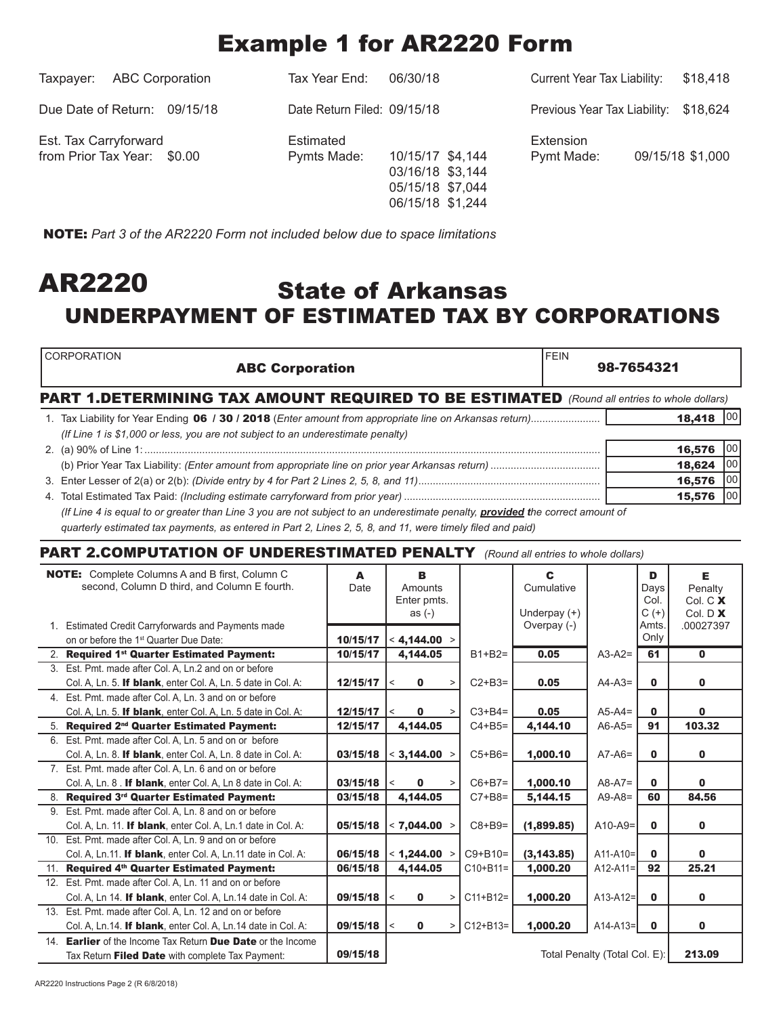# Example 1 for AR2220 Form

| <b>ABC Corporation</b><br>Taxpayer:                  | Tax Year End:               | 06/30/18                                                                     | Current Year Tax Liability:           | \$18,418         |
|------------------------------------------------------|-----------------------------|------------------------------------------------------------------------------|---------------------------------------|------------------|
| Due Date of Return: 09/15/18                         | Date Return Filed: 09/15/18 |                                                                              | Previous Year Tax Liability: \$18,624 |                  |
| Est. Tax Carryforward<br>from Prior Tax Year: \$0.00 | Estimated<br>Pymts Made:    | 10/15/17 \$4,144<br>03/16/18 \$3,144<br>05/15/18 \$7,044<br>06/15/18 \$1,244 | Extension<br>Pymt Made:               | 09/15/18 \$1,000 |

NOTE: *Part 3 of the AR2220 Form not included below due to space limitations*

## State of Arkansas UNDERPAYMENT OF ESTIMATED TAX BY CORPORATIONS AR2220

| <b>CORPORATION</b><br><b>ABC Corporation</b>                                                                                  | 98-7654321 |        |      |  |
|-------------------------------------------------------------------------------------------------------------------------------|------------|--------|------|--|
| <b>PART 1.DETERMINING TAX AMOUNT REQUIRED TO BE ESTIMATED</b> (Round all entries to whole dollars)                            |            |        |      |  |
|                                                                                                                               |            | 18,418 |      |  |
| (If Line 1 is \$1,000 or less, you are not subject to an underestimate penalty)                                               |            |        |      |  |
|                                                                                                                               |            | 16.576 | 1001 |  |
|                                                                                                                               |            | 18,624 | 00   |  |
|                                                                                                                               |            | 16,576 | 00   |  |
|                                                                                                                               |            | 15,576 | 100  |  |
| (If Line 4 is equal to or greater than Line 3 you are not subject to an underestimate penalty, provided the correct amount of |            |        |      |  |

quarterly estimated tax payments, as entered in Part 2, Lines 2, 5, 8, and 11, were timely filed and paid)

### PART 2.COMPUTATION OF UNDERESTIMATED PENALTY *(Round all entries to whole dollars)*

| <b>NOTE:</b> Complete Columns A and B first, Column C        | A        | B                                |               | C                             |               | D                | E.                        |
|--------------------------------------------------------------|----------|----------------------------------|---------------|-------------------------------|---------------|------------------|---------------------------|
| second, Column D third, and Column E fourth.                 | Date     | Amounts                          |               | Cumulative                    |               | Days             | Penalty                   |
|                                                              |          | Enter pmts.                      |               |                               |               | Col.             | Col. C X                  |
| 1. Estimated Credit Carryforwards and Payments made          |          | as $(-)$                         |               | Underpay $(+)$<br>Overpay (-) |               | $C (+)$<br>Amts. | Col. $D$ $X$<br>.00027397 |
| on or before the 1 <sup>st</sup> Quarter Due Date:           | 10/15/17 | < 4,144.00                       |               |                               |               | Only             |                           |
|                                                              | 10/15/17 | 4,144.05                         | $B1+B2=$      | 0.05                          | $A3-A2=$      | 61               | $\mathbf{0}$              |
| 2. Required 1st Quarter Estimated Payment:                   |          |                                  |               |                               |               |                  |                           |
| 3. Est. Pmt. made after Col. A. Ln.2 and on or before        |          |                                  |               |                               |               |                  |                           |
| Col. A, Ln. 5. If blank, enter Col. A, Ln. 5 date in Col. A: | 12/15/17 | $\mathbf 0$<br>$\,<\,$           | $C2+B3=$      | 0.05                          | $A4-A3=$      | $\mathbf{0}$     | $\mathbf 0$               |
| 4. Est. Pmt. made after Col. A, Ln. 3 and on or before       |          |                                  |               |                               |               |                  |                           |
| Col. A, Ln. 5. If blank, enter Col. A, Ln. 5 date in Col. A: | 12/15/17 | 0<br>$\,<\,$                     | $C3+B4=$      | 0.05                          | $A5-A4=$      | $\mathbf{0}$     | $\bf{0}$                  |
| 5. Required 2 <sup>nd</sup> Quarter Estimated Payment:       | 12/15/17 | 4,144.05                         | $C4 + B5 =$   | 4,144.10                      | $A6-A5=$      | 91               | 103.32                    |
| 6. Est. Pmt. made after Col. A, Ln. 5 and on or before       |          |                                  |               |                               |               |                  |                           |
| Col. A, Ln. 8. If blank, enter Col. A, Ln. 8 date in Col. A: | 03/15/18 | $<$ 3,144.00                     | $C5 + B6 =$   | 1,000.10                      | $A7-A6=$      | $\mathbf{0}$     | $\mathbf 0$               |
| 7. Est. Pmt. made after Col. A, Ln. 6 and on or before       |          |                                  |               |                               |               |                  |                           |
| Col. A, Ln. 8. If blank, enter Col. A, Ln 8 date in Col. A:  | 03/15/18 | $\bf{0}$<br>$\,<\,$              | $C6+B7=$      | 1,000.10                      | $A8-A7=$      | $\mathbf 0$      | $\mathbf{0}$              |
| 8. Required 3rd Quarter Estimated Payment:                   | 03/15/18 | 4.144.05                         | $C7 + B8 =$   | 5,144.15                      | $A9-A8=$      | 60               | 84.56                     |
| 9. Est. Pmt. made after Col. A, Ln. 8 and on or before       |          |                                  |               |                               |               |                  |                           |
| Col. A, Ln. 11. If blank, enter Col. A, Ln.1 date in Col. A: | 05/15/18 | < 7,044.00 >                     | $C8 + B9 =$   | (1,899.85)                    | $A10-A9=$     | $\mathbf{0}$     | $\mathbf 0$               |
| 10. Est. Pmt. made after Col. A, Ln. 9 and on or before      |          |                                  |               |                               |               |                  |                           |
| Col. A, Ln.11. If blank, enter Col. A, Ln.11 date in Col. A: | 06/15/18 | $<$ 1,244.00                     | $C9 + B10=$   | (3, 143.85)                   | $A11 - A10 =$ | $\mathbf{0}$     | $\mathbf{0}$              |
| 11. Required 4th Quarter Estimated Payment:                  | 06/15/18 | 4,144.05                         | $C10 + B11 =$ | 1,000.20                      | $A12-A11=$    | 92               | 25.21                     |
| 12. Est. Pmt. made after Col. A, Ln. 11 and on or before     |          |                                  |               |                               |               |                  |                           |
| Col. A. Ln 14. If blank, enter Col. A. Ln.14 date in Col. A: | 09/15/18 | $\mathbf 0$<br>$\,<\,$<br>>      | $C11 + B12 =$ | 1,000.20                      | $A13-A12=$    | $\mathbf{0}$     | $\mathbf 0$               |
| 13. Est. Pmt. made after Col. A, Ln. 12 and on or before     |          |                                  |               |                               |               |                  |                           |
| Col. A. Ln.14. If blank, enter Col. A. Ln.14 date in Col. A: | 09/15/18 | $\mathbf 0$<br>$\,<\,$<br>$\geq$ | $C12 + B13 =$ | 1,000.20                      | $A14-A13=$    | $\mathbf{0}$     | 0                         |
| 14. Earlier of the Income Tax Return Due Date or the Income  |          |                                  |               |                               |               |                  |                           |
| Tax Return Filed Date with complete Tax Payment:             | 09/15/18 |                                  | 213.09        |                               |               |                  |                           |